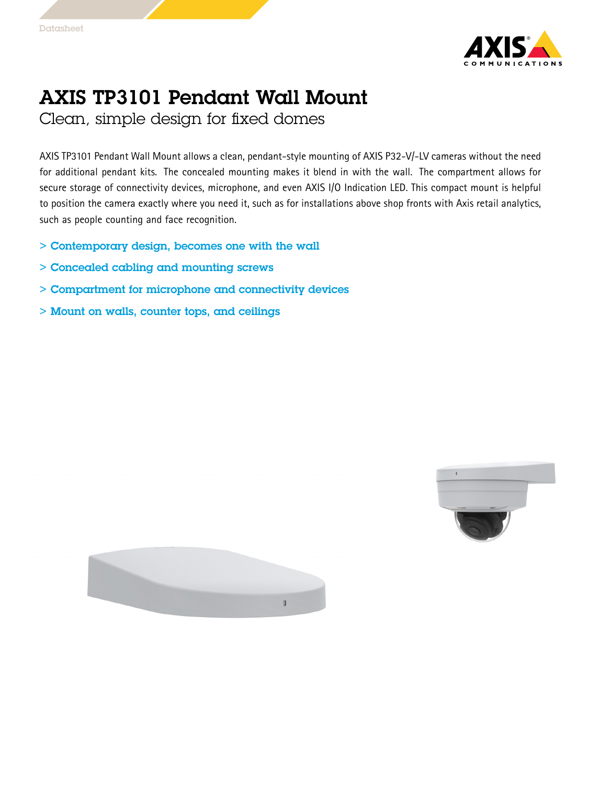



## AXIS TP3101 Pendant Wall Mount

Clean, simple design for fixed domes

AXIS TP3101 Pendant Wall Mount allows <sup>a</sup> clean, pendant-style mounting of AXIS P32-V/-LV cameras without the need for additional pendant kits. The concealed mounting makes it blend in with the wall. The compartment allows for secure storage of connectivity devices, microphone, and even AXIS I/O Indication LED. This compact mount is helpful to position the camera exactly where you need it, such as for installations above shop fronts with Axis retail analytics, such as people counting and face recognition.

- > Contemporary design, becomes one with the wall
- > Concealed cabling and mounting screws
- > Compartment for microphone and connectivity devices
- > Mount on walls, counter tops, and ceilings